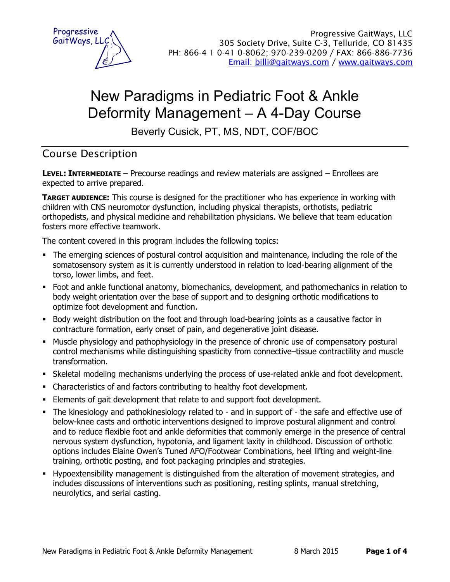

# New Paradigms in Pediatric Foot & Ankle Deformity Management – A 4-Day Course

Beverly Cusick, PT, MS, NDT, COF/BOC

# Course Description

**LEVEL: INTERMEDIATE** – Precourse readings and review materials are assigned – Enrollees are expected to arrive prepared.

**TARGET AUDIENCE:** This course is designed for the practitioner who has experience in working with children with CNS neuromotor dysfunction, including physical therapists, orthotists, pediatric orthopedists, and physical medicine and rehabilitation physicians. We believe that team education fosters more effective teamwork.

The content covered in this program includes the following topics:

- The emerging sciences of postural control acquisition and maintenance, including the role of the somatosensory system as it is currently understood in relation to load-bearing alignment of the torso, lower limbs, and feet.
- Foot and ankle functional anatomy, biomechanics, development, and pathomechanics in relation to body weight orientation over the base of support and to designing orthotic modifications to optimize foot development and function.
- Body weight distribution on the foot and through load-bearing joints as a causative factor in contracture formation, early onset of pain, and degenerative joint disease.
- **Muscle physiology and pathophysiology in the presence of chronic use of compensatory postural** control mechanisms while distinguishing spasticity from connective–tissue contractility and muscle transformation.
- ß Skeletal modeling mechanisms underlying the process of use-related ankle and foot development.
- Characteristics of and factors contributing to healthy foot development.
- **Elements of gait development that relate to and support foot development.**
- The kinesiology and pathokinesiology related to and in support of the safe and effective use of below-knee casts and orthotic interventions designed to improve postural alignment and control and to reduce flexible foot and ankle deformities that commonly emerge in the presence of central nervous system dysfunction, hypotonia, and ligament laxity in childhood. Discussion of orthotic options includes Elaine Owen's Tuned AFO/Footwear Combinations, heel lifting and weight-line training, orthotic posting, and foot packaging principles and strategies.
- ß Hypoextensibility management is distinguished from the alteration of movement strategies, and includes discussions of interventions such as positioning, resting splints, manual stretching, neurolytics, and serial casting.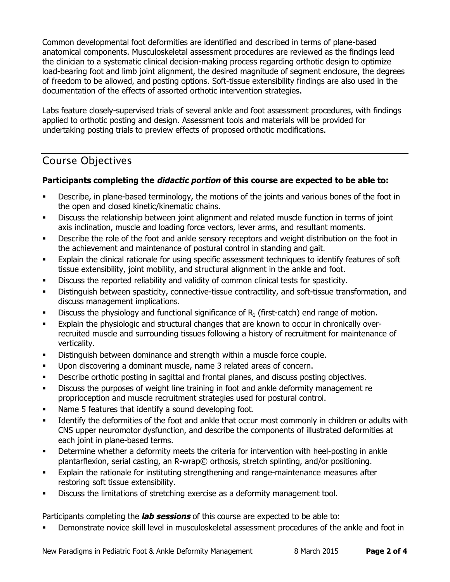Common developmental foot deformities are identified and described in terms of plane-based anatomical components. Musculoskeletal assessment procedures are reviewed as the findings lead the clinician to a systematic clinical decision-making process regarding orthotic design to optimize load-bearing foot and limb joint alignment, the desired magnitude of segment enclosure, the degrees of freedom to be allowed, and posting options. Soft-tissue extensibility findings are also used in the documentation of the effects of assorted orthotic intervention strategies.

Labs feature closely-supervised trials of several ankle and foot assessment procedures, with findings applied to orthotic posting and design. Assessment tools and materials will be provided for undertaking posting trials to preview effects of proposed orthotic modifications.

# Course Objectives

## **Participants completing the** *didactic portion* **of this course are expected to be able to:**

- ß Describe, in plane-based terminology, the motions of the joints and various bones of the foot in the open and closed kinetic/kinematic chains.
- **•** Discuss the relationship between joint alignment and related muscle function in terms of joint axis inclination, muscle and loading force vectors, lever arms, and resultant moments.
- **•** Describe the role of the foot and ankle sensory receptors and weight distribution on the foot in the achievement and maintenance of postural control in standing and gait.
- **Explain the clinical rationale for using specific assessment techniques to identify features of soft** tissue extensibility, joint mobility, and structural alignment in the ankle and foot.
- **•** Discuss the reported reliability and validity of common clinical tests for spasticity.
- **•** Distinguish between spasticity, connective-tissue contractility, and soft-tissue transformation, and discuss management implications.
- **Discuss the physiology and functional significance of R<sub>1</sub> (first-catch) end range of motion.**
- **Explain the physiologic and structural changes that are known to occur in chronically over**recruited muscle and surrounding tissues following a history of recruitment for maintenance of verticality.
- **•** Distinguish between dominance and strength within a muscle force couple.
- **Upon discovering a dominant muscle, name 3 related areas of concern.**
- **•** Describe orthotic posting in sagittal and frontal planes, and discuss posting objectives.
- ß Discuss the purposes of weight line training in foot and ankle deformity management re proprioception and muscle recruitment strategies used for postural control.
- Name 5 features that identify a sound developing foot.
- **EXECUTE:** Identify the deformities of the foot and ankle that occur most commonly in children or adults with CNS upper neuromotor dysfunction, and describe the components of illustrated deformities at each joint in plane-based terms.
- **•** Determine whether a deformity meets the criteria for intervention with heel-posting in ankle plantarflexion, serial casting, an R-wrap© orthosis, stretch splinting, and/or positioning.
- **Explain the rationale for instituting strengthening and range-maintenance measures after** restoring soft tissue extensibility.
- **•** Discuss the limitations of stretching exercise as a deformity management tool.

## Participants completing the *lab sessions* of this course are expected to be able to:

ß Demonstrate novice skill level in musculoskeletal assessment procedures of the ankle and foot in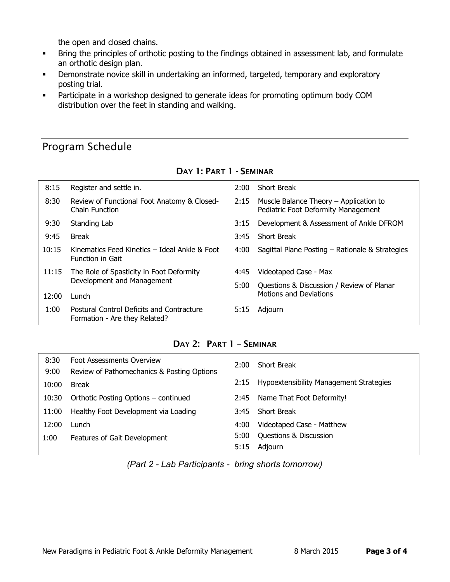the open and closed chains.

- **Bring the principles of orthotic posting to the findings obtained in assessment lab, and formulate** an orthotic design plan.
- **•** Demonstrate novice skill in undertaking an informed, targeted, temporary and exploratory posting trial.
- **•** Participate in a workshop designed to generate ideas for promoting optimum body COM distribution over the feet in standing and walking.

# Program Schedule

| 8:15  | Register and settle in.                                                           | $2:00^{-}$ | <b>Short Break</b>                                                            |
|-------|-----------------------------------------------------------------------------------|------------|-------------------------------------------------------------------------------|
| 8:30  | Review of Functional Foot Anatomy & Closed-<br>Chain Function                     | 2:15       | Muscle Balance Theory – Application to<br>Pediatric Foot Deformity Management |
| 9:30  | Standing Lab                                                                      | 3:15       | Development & Assessment of Ankle DFROM                                       |
| 9:45  | <b>Break</b>                                                                      | 3:45       | <b>Short Break</b>                                                            |
| 10:15 | Kinematics Feed Kinetics - Ideal Ankle & Foot<br><b>Function in Gait</b>          | 4:00       | Sagittal Plane Posting - Rationale & Strategies                               |
| 11:15 | The Role of Spasticity in Foot Deformity<br>Development and Management            | 4:45       | Videotaped Case - Max                                                         |
|       |                                                                                   | 5:00       | Questions & Discussion / Review of Planar                                     |
| 12:00 | Lunch                                                                             |            | <b>Motions and Deviations</b>                                                 |
| 1:00  | <b>Postural Control Deficits and Contracture</b><br>Formation - Are they Related? | 5:15       | Adjourn                                                                       |

#### **DAY 1: PART 1 - SEMINAR**

## **DAY 2: PART 1 – SEMINAR**

| 8:30  | <b>Foot Assessments Overview</b>           | 2:00 | <b>Short Break</b>                      |
|-------|--------------------------------------------|------|-----------------------------------------|
| 9:00  | Review of Pathomechanics & Posting Options |      |                                         |
| 10:00 | <b>Break</b>                               | 2:15 | Hypoextensibility Management Strategies |
| 10:30 | Orthotic Posting Options - continued       | 2:45 | Name That Foot Deformity!               |
| 11:00 | Healthy Foot Development via Loading       | 3:45 | <b>Short Break</b>                      |
| 12:00 | Lunch                                      | 4:00 | Videotaped Case - Matthew               |
| 1:00  | Features of Gait Development               | 5:00 | Questions & Discussion                  |
|       |                                            | 5:15 | Adjourn                                 |

*(Part 2 - Lab Participants - bring shorts tomorrow)*